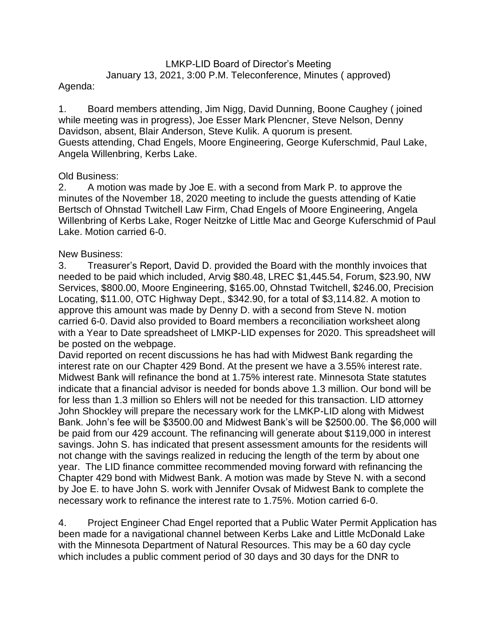# LMKP-LID Board of Director's Meeting January 13, 2021, 3:00 P.M. Teleconference, Minutes ( approved)

## Agenda:

1. Board members attending, Jim Nigg, David Dunning, Boone Caughey ( joined while meeting was in progress), Joe Esser Mark Plencner, Steve Nelson, Denny Davidson, absent, Blair Anderson, Steve Kulik. A quorum is present. Guests attending, Chad Engels, Moore Engineering, George Kuferschmid, Paul Lake, Angela Willenbring, Kerbs Lake.

# Old Business:

2. A motion was made by Joe E. with a second from Mark P. to approve the minutes of the November 18, 2020 meeting to include the guests attending of Katie Bertsch of Ohnstad Twitchell Law Firm, Chad Engels of Moore Engineering, Angela Willenbring of Kerbs Lake, Roger Neitzke of Little Mac and George Kuferschmid of Paul Lake. Motion carried 6-0.

### New Business:

3. Treasurer's Report, David D. provided the Board with the monthly invoices that needed to be paid which included, Arvig \$80.48, LREC \$1,445.54, Forum, \$23.90, NW Services, \$800.00, Moore Engineering, \$165.00, Ohnstad Twitchell, \$246.00, Precision Locating, \$11.00, OTC Highway Dept., \$342.90, for a total of \$3,114.82. A motion to approve this amount was made by Denny D. with a second from Steve N. motion carried 6-0. David also provided to Board members a reconciliation worksheet along with a Year to Date spreadsheet of LMKP-LID expenses for 2020. This spreadsheet will be posted on the webpage.

David reported on recent discussions he has had with Midwest Bank regarding the interest rate on our Chapter 429 Bond. At the present we have a 3.55% interest rate. Midwest Bank will refinance the bond at 1.75% interest rate. Minnesota State statutes indicate that a financial advisor is needed for bonds above 1.3 million. Our bond will be for less than 1.3 million so Ehlers will not be needed for this transaction. LID attorney John Shockley will prepare the necessary work for the LMKP-LID along with Midwest Bank. John's fee will be \$3500.00 and Midwest Bank's will be \$2500.00. The \$6,000 will be paid from our 429 account. The refinancing will generate about \$119,000 in interest savings. John S. has indicated that present assessment amounts for the residents will not change with the savings realized in reducing the length of the term by about one year. The LID finance committee recommended moving forward with refinancing the Chapter 429 bond with Midwest Bank. A motion was made by Steve N. with a second by Joe E. to have John S. work with Jennifer Ovsak of Midwest Bank to complete the necessary work to refinance the interest rate to 1.75%. Motion carried 6-0.

4. Project Engineer Chad Engel reported that a Public Water Permit Application has been made for a navigational channel between Kerbs Lake and Little McDonald Lake with the Minnesota Department of Natural Resources. This may be a 60 day cycle which includes a public comment period of 30 days and 30 days for the DNR to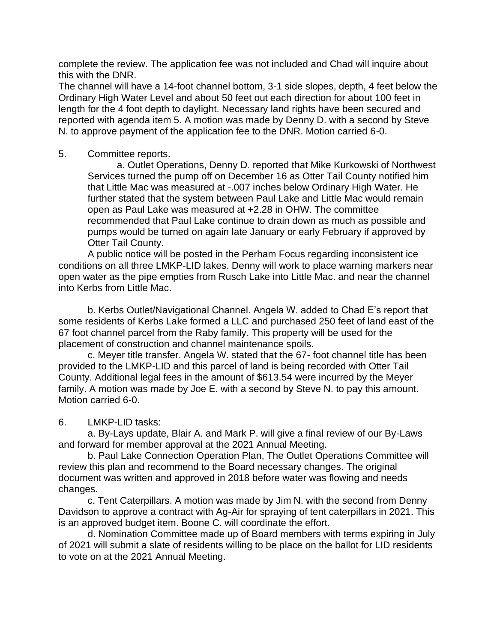complete the review. The application fee was not included and Chad will inquire about this with the DNR.

The channel will have a 14-foot channel bottom, 3-1 side slopes, depth, 4 feet below the Ordinary High Water Level and about 50 feet out each direction for about 100 feet in length for the 4 foot depth to daylight. Necessary land rights have been secured and reported with agenda item 5. A motion was made by Denny D. with a second by Steve N. to approve payment of the application fee to the DNR. Motion carried 6-0.

#### 5. Committee reports.

a. Outlet Operations, Denny D. reported that Mike Kurkowski of Northwest Services turned the pump off on December 16 as Otter Tail County notified him that Little Mac was measured at -.007 inches below Ordinary High Water. He further stated that the system between Paul Lake and Little Mac would remain open as Paul Lake was measured at +2.28 in OHW. The committee recommended that Paul Lake continue to drain down as much as possible and pumps would be turned on again late January or early February if approved by Otter Tail County.

A public notice will be posted in the Perham Focus regarding inconsistent ice conditions on all three LMKP-LID lakes. Denny will work to place warning markers near open water as the pipe empties from Rusch Lake into Little Mac. and near the channel into Kerbs from Little Mac.

b. Kerbs Outlet/Navigational Channel. Angela W. added to Chad E's report that some residents of Kerbs Lake formed a LLC and purchased 250 feet of land east of the 67 foot channel parcel from the Raby family. This property will be used for the placement of construction and channel maintenance spoils.

c. Meyer title transfer. Angela W. stated that the 67- foot channel title has been provided to the LMKP-LID and this parcel of land is being recorded with Otter Tail County. Additional legal fees in the amount of \$613.54 were incurred by the Meyer family. A motion was made by Joe E. with a second by Steve N. to pay this amount. Motion carried 6-0.

6. LMKP-LID tasks:

a. By-Lays update, Blair A. and Mark P. will give a final review of our By-Laws and forward for member approval at the 2021 Annual Meeting.

b. Paul Lake Connection Operation Plan, The Outlet Operations Committee will review this plan and recommend to the Board necessary changes. The original document was written and approved in 2018 before water was flowing and needs changes.

c. Tent Caterpillars. A motion was made by Jim N. with the second from Denny Davidson to approve a contract with Ag-Air for spraying of tent caterpillars in 2021. This is an approved budget item. Boone C. will coordinate the effort.

d. Nomination Committee made up of Board members with terms expiring in July of 2021 will submit a slate of residents willing to be place on the ballot for LID residents to vote on at the 2021 Annual Meeting.